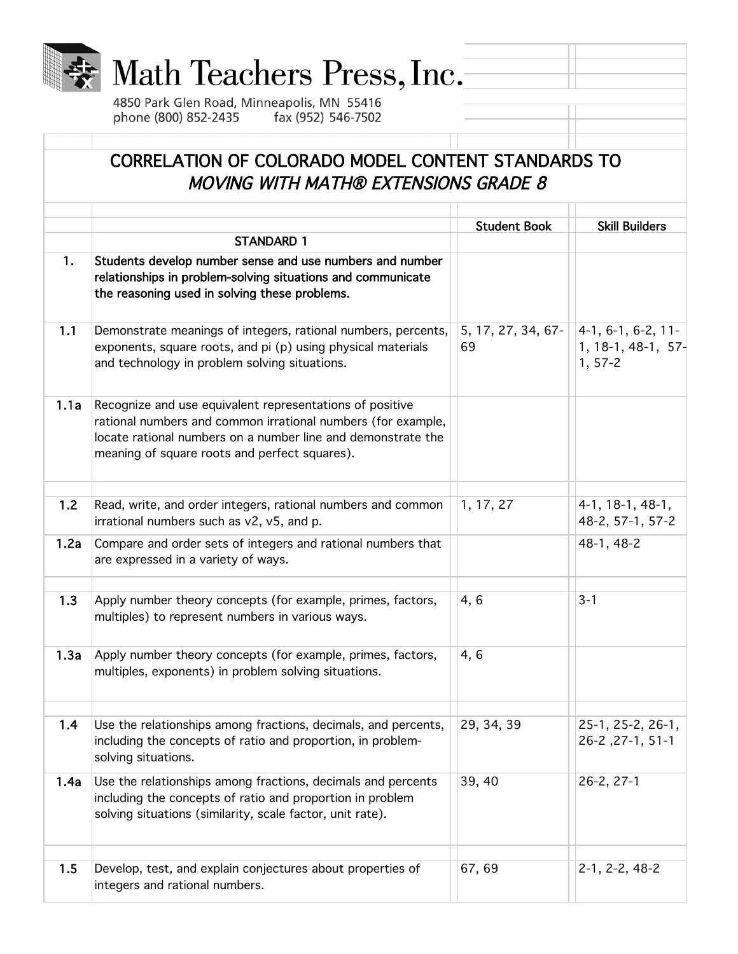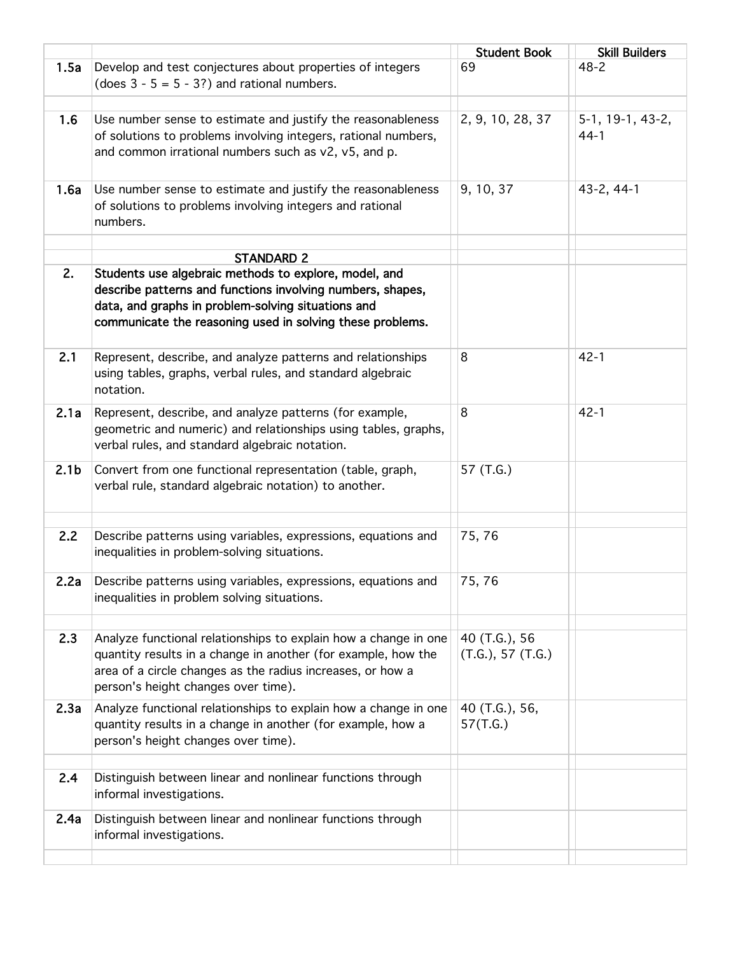|                  |                                                                                                                                                                                                                                        | <b>Student Book</b>                | <b>Skill Builders</b>      |
|------------------|----------------------------------------------------------------------------------------------------------------------------------------------------------------------------------------------------------------------------------------|------------------------------------|----------------------------|
| 1.5a             | Develop and test conjectures about properties of integers<br>(does $3 - 5 = 5 - 3$ ?) and rational numbers.                                                                                                                            | 69                                 | $48 - 2$                   |
| 1.6              | Use number sense to estimate and justify the reasonableness<br>of solutions to problems involving integers, rational numbers,<br>and common irrational numbers such as v2, v5, and p.                                                  | 2, 9, 10, 28, 37                   | 5-1, 19-1, 43-2,<br>$44-1$ |
| 1.6a             | Use number sense to estimate and justify the reasonableness<br>of solutions to problems involving integers and rational<br>numbers.                                                                                                    | 9, 10, 37                          | 43-2, 44-1                 |
|                  |                                                                                                                                                                                                                                        |                                    |                            |
| 2.               | <b>STANDARD 2</b>                                                                                                                                                                                                                      |                                    |                            |
|                  | Students use algebraic methods to explore, model, and<br>describe patterns and functions involving numbers, shapes,<br>data, and graphs in problem-solving situations and<br>communicate the reasoning used in solving these problems. |                                    |                            |
| 2.1              | Represent, describe, and analyze patterns and relationships<br>using tables, graphs, verbal rules, and standard algebraic<br>notation.                                                                                                 | 8                                  | $42 - 1$                   |
| 2.1a             | Represent, describe, and analyze patterns (for example,<br>geometric and numeric) and relationships using tables, graphs,<br>verbal rules, and standard algebraic notation.                                                            | 8                                  | $42 - 1$                   |
| 2.1 <sub>b</sub> | Convert from one functional representation (table, graph,<br>verbal rule, standard algebraic notation) to another.                                                                                                                     | 57 (T.G.)                          |                            |
|                  |                                                                                                                                                                                                                                        |                                    |                            |
| 2.2              | Describe patterns using variables, expressions, equations and<br>inequalities in problem-solving situations.                                                                                                                           | 75,76                              |                            |
| 2.2a             | Describe patterns using variables, expressions, equations and<br>inequalities in problem solving situations.                                                                                                                           | 75,76                              |                            |
| 2.3              | Analyze functional relationships to explain how a change in one<br>quantity results in a change in another (for example, how the<br>area of a circle changes as the radius increases, or how a<br>person's height changes over time).  | 40 (T.G.), 56<br>(T.G.), 57 (T.G.) |                            |
| 2.3a             | Analyze functional relationships to explain how a change in one<br>quantity results in a change in another (for example, how a<br>person's height changes over time).                                                                  | 40 (T.G.), 56,<br>57(T.G.)         |                            |
| 2.4              | Distinguish between linear and nonlinear functions through<br>informal investigations.                                                                                                                                                 |                                    |                            |
| 2.4a             | Distinguish between linear and nonlinear functions through<br>informal investigations.                                                                                                                                                 |                                    |                            |
|                  |                                                                                                                                                                                                                                        |                                    |                            |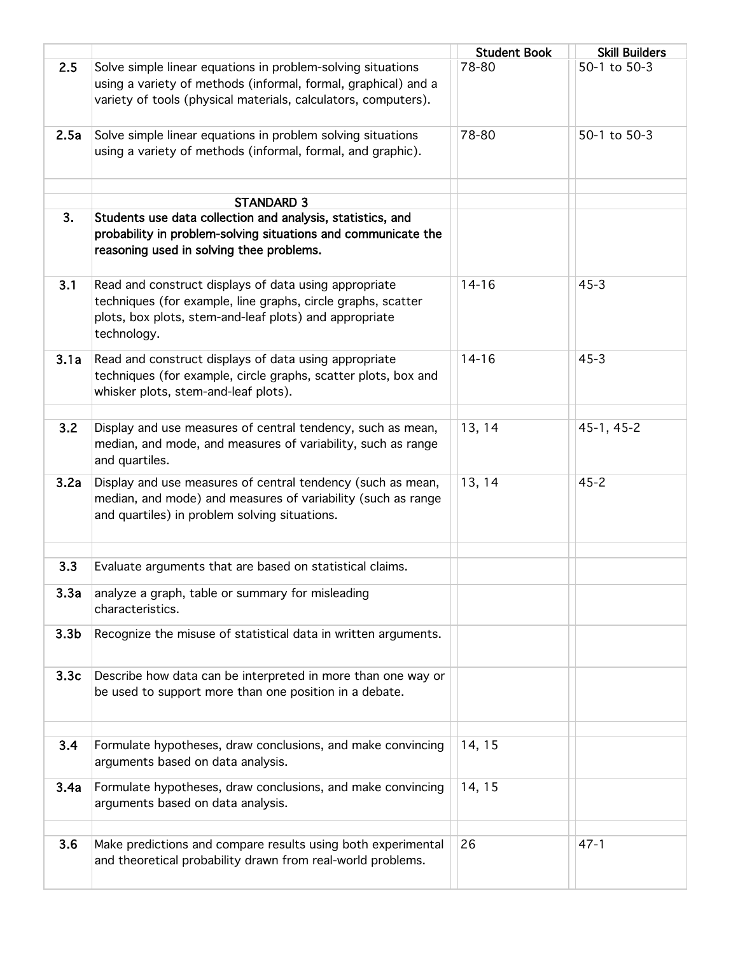|                  |                                                                                                                                                                                                 | <b>Student Book</b> | <b>Skill Builders</b> |
|------------------|-------------------------------------------------------------------------------------------------------------------------------------------------------------------------------------------------|---------------------|-----------------------|
| 2.5              | Solve simple linear equations in problem-solving situations<br>using a variety of methods (informal, formal, graphical) and a<br>variety of tools (physical materials, calculators, computers). | 78-80               | 50-1 to 50-3          |
| 2.5a             | Solve simple linear equations in problem solving situations<br>using a variety of methods (informal, formal, and graphic).                                                                      | 78-80               | 50-1 to 50-3          |
|                  |                                                                                                                                                                                                 |                     |                       |
|                  | <b>STANDARD 3</b>                                                                                                                                                                               |                     |                       |
| 3.               | Students use data collection and analysis, statistics, and<br>probability in problem-solving situations and communicate the<br>reasoning used in solving thee problems.                         |                     |                       |
| 3.1              | Read and construct displays of data using appropriate<br>techniques (for example, line graphs, circle graphs, scatter<br>plots, box plots, stem-and-leaf plots) and appropriate<br>technology.  | $14 - 16$           | $45 - 3$              |
| 3.1a             | Read and construct displays of data using appropriate<br>techniques (for example, circle graphs, scatter plots, box and<br>whisker plots, stem-and-leaf plots).                                 | $14 - 16$           | $45 - 3$              |
| 3.2              | Display and use measures of central tendency, such as mean,<br>median, and mode, and measures of variability, such as range<br>and quartiles.                                                   | 13, 14              | $45-1, 45-2$          |
| 3.2a             | Display and use measures of central tendency (such as mean,<br>median, and mode) and measures of variability (such as range<br>and quartiles) in problem solving situations.                    | 13, 14              | $45 - 2$              |
| 3.3              | Evaluate arguments that are based on statistical claims.                                                                                                                                        |                     |                       |
| 3.3a             | analyze a graph, table or summary for misleading<br>characteristics.                                                                                                                            |                     |                       |
| 3.3 <sub>b</sub> | Recognize the misuse of statistical data in written arguments.                                                                                                                                  |                     |                       |
| 3.3c             | Describe how data can be interpreted in more than one way or<br>be used to support more than one position in a debate.                                                                          |                     |                       |
| 3.4              | Formulate hypotheses, draw conclusions, and make convincing<br>arguments based on data analysis.                                                                                                | 14, 15              |                       |
| 3.4a             | Formulate hypotheses, draw conclusions, and make convincing<br>arguments based on data analysis.                                                                                                | 14, 15              |                       |
| 3.6              | Make predictions and compare results using both experimental<br>and theoretical probability drawn from real-world problems.                                                                     | 26                  | $47 - 1$              |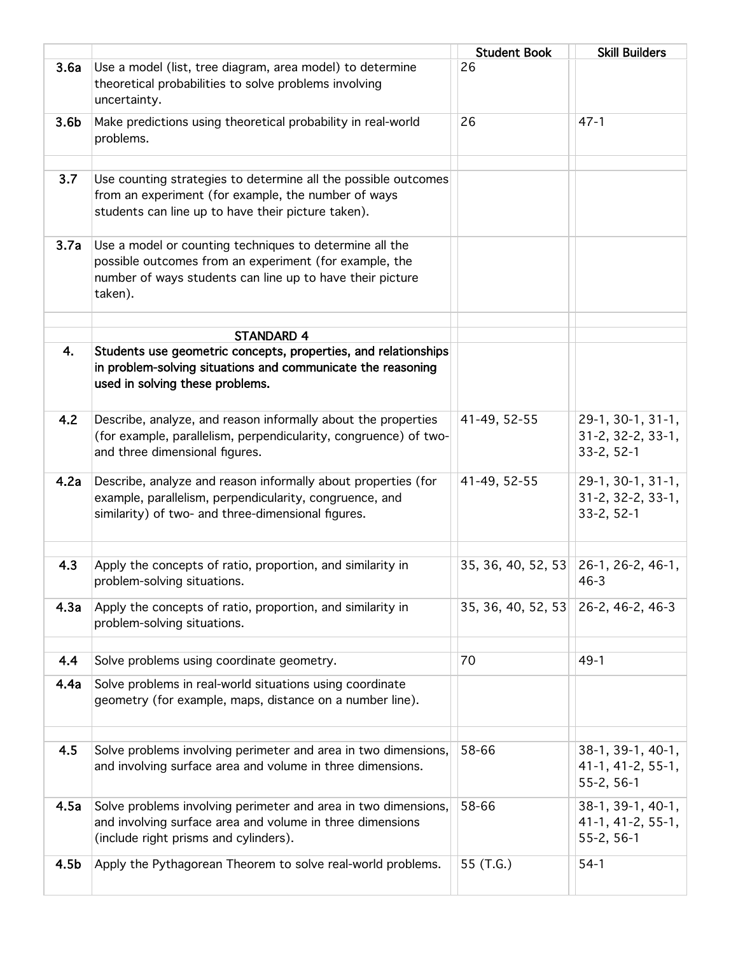|                  |                                                                                                                                                                                           | <b>Student Book</b>                  | <b>Skill Builders</b>                                              |
|------------------|-------------------------------------------------------------------------------------------------------------------------------------------------------------------------------------------|--------------------------------------|--------------------------------------------------------------------|
| 3.6a             | Use a model (list, tree diagram, area model) to determine<br>theoretical probabilities to solve problems involving<br>uncertainty.                                                        | 26                                   |                                                                    |
| 3.6 <sub>b</sub> | Make predictions using theoretical probability in real-world<br>problems.                                                                                                                 | 26                                   | $47 - 1$                                                           |
| 3.7              | Use counting strategies to determine all the possible outcomes<br>from an experiment (for example, the number of ways<br>students can line up to have their picture taken).               |                                      |                                                                    |
| 3.7a             | Use a model or counting techniques to determine all the<br>possible outcomes from an experiment (for example, the<br>number of ways students can line up to have their picture<br>taken). |                                      |                                                                    |
|                  |                                                                                                                                                                                           |                                      |                                                                    |
| 4.               | <b>STANDARD 4</b><br>Students use geometric concepts, properties, and relationships<br>in problem-solving situations and communicate the reasoning<br>used in solving these problems.     |                                      |                                                                    |
| 4.2              | Describe, analyze, and reason informally about the properties<br>(for example, parallelism, perpendicularity, congruence) of two-<br>and three dimensional figures.                       | 41-49, 52-55                         | 29-1, 30-1, 31-1,<br>$31 - 2, 32 - 2, 33 - 1,$<br>$33 - 2, 52 - 1$ |
| 4.2a             | Describe, analyze and reason informally about properties (for<br>example, parallelism, perpendicularity, congruence, and<br>similarity) of two- and three-dimensional figures.            | 41-49, 52-55                         | 29-1, 30-1, 31-1,<br>31-2, 32-2, 33-1,<br>$33 - 2, 52 - 1$         |
| 4.3              | Apply the concepts of ratio, proportion, and similarity in<br>problem-solving situations.                                                                                                 | 35, 36, 40, 52, 53 26-1, 26-2, 46-1, | $46 - 3$                                                           |
| 4.3a             | Apply the concepts of ratio, proportion, and similarity in<br>problem-solving situations.                                                                                                 | 35, 36, 40, 52, 53 26-2, 46-2, 46-3  |                                                                    |
| 4.4              | Solve problems using coordinate geometry.                                                                                                                                                 | 70                                   | $49-1$                                                             |
| 4.4a             | Solve problems in real-world situations using coordinate<br>geometry (for example, maps, distance on a number line).                                                                      |                                      |                                                                    |
| 4.5              | Solve problems involving perimeter and area in two dimensions,<br>and involving surface area and volume in three dimensions.                                                              | 58-66                                | 38-1, 39-1, 40-1,<br>41-1, 41-2, 55-1,<br>$55-2, 56-1$             |
| 4.5a             | Solve problems involving perimeter and area in two dimensions,<br>and involving surface area and volume in three dimensions<br>(include right prisms and cylinders).                      | 58-66                                | 38-1, 39-1, 40-1,<br>41-1, 41-2, 55-1,<br>$55 - 2, 56 - 1$         |
| 4.5b             | Apply the Pythagorean Theorem to solve real-world problems.                                                                                                                               | 55 (T.G.)                            | $54-1$                                                             |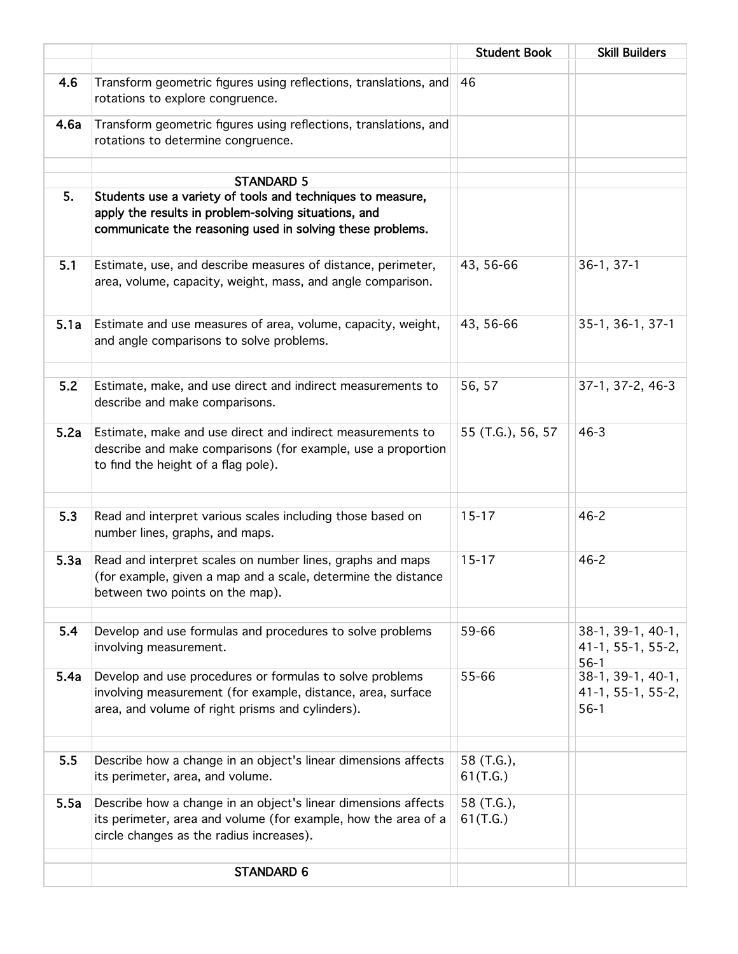|      |                                                                                                                                                                                 | <b>Student Book</b>    | <b>Skill Builders</b>                              |
|------|---------------------------------------------------------------------------------------------------------------------------------------------------------------------------------|------------------------|----------------------------------------------------|
| 4.6  | Transform geometric figures using reflections, translations, and<br>rotations to explore congruence.                                                                            | 46                     |                                                    |
| 4.6a | Transform geometric figures using reflections, translations, and<br>rotations to determine congruence.                                                                          |                        |                                                    |
|      | <b>STANDARD 5</b>                                                                                                                                                               |                        |                                                    |
| 5.   | Students use a variety of tools and techniques to measure,<br>apply the results in problem-solving situations, and<br>communicate the reasoning used in solving these problems. |                        |                                                    |
| 5.1  | Estimate, use, and describe measures of distance, perimeter,<br>area, volume, capacity, weight, mass, and angle comparison.                                                     | 43, 56-66              | $36-1, 37-1$                                       |
| 5.1a | Estimate and use measures of area, volume, capacity, weight,<br>and angle comparisons to solve problems.                                                                        | 43, 56-66              | 35-1, 36-1, 37-1                                   |
| 5.2  | Estimate, make, and use direct and indirect measurements to<br>describe and make comparisons.                                                                                   | 56, 57                 | 37-1, 37-2, 46-3                                   |
| 5.2a | Estimate, make and use direct and indirect measurements to<br>describe and make comparisons (for example, use a proportion<br>to find the height of a flag pole).               | 55 (T.G.), 56, 57      | $46 - 3$                                           |
| 5.3  | Read and interpret various scales including those based on<br>number lines, graphs, and maps.                                                                                   | $15 - 17$              | $46 - 2$                                           |
| 5.3a | Read and interpret scales on number lines, graphs and maps<br>(for example, given a map and a scale, determine the distance<br>between two points on the map).                  | $15 - 17$              | $46 - 2$                                           |
| 5.4  | Develop and use formulas and procedures to solve problems<br>involving measurement.                                                                                             | 59-66                  | $38-1, 39-1, 40-1,$<br>41-1, 55-1, 55-2,<br>$56-1$ |
| 5.4a | Develop and use procedures or formulas to solve problems<br>involving measurement (for example, distance, area, surface<br>area, and volume of right prisms and cylinders).     | 55-66                  | 38-1, 39-1, 40-1,<br>41-1, 55-1, 55-2,<br>$56-1$   |
| 5.5  | Describe how a change in an object's linear dimensions affects<br>its perimeter, area, and volume.                                                                              | 58 (T.G.),<br>61(T.G.) |                                                    |
| 5.5a | Describe how a change in an object's linear dimensions affects<br>its perimeter, area and volume (for example, how the area of a<br>circle changes as the radius increases).    | 58 (T.G.),<br>61(T.G.) |                                                    |
|      | <b>STANDARD 6</b>                                                                                                                                                               |                        |                                                    |